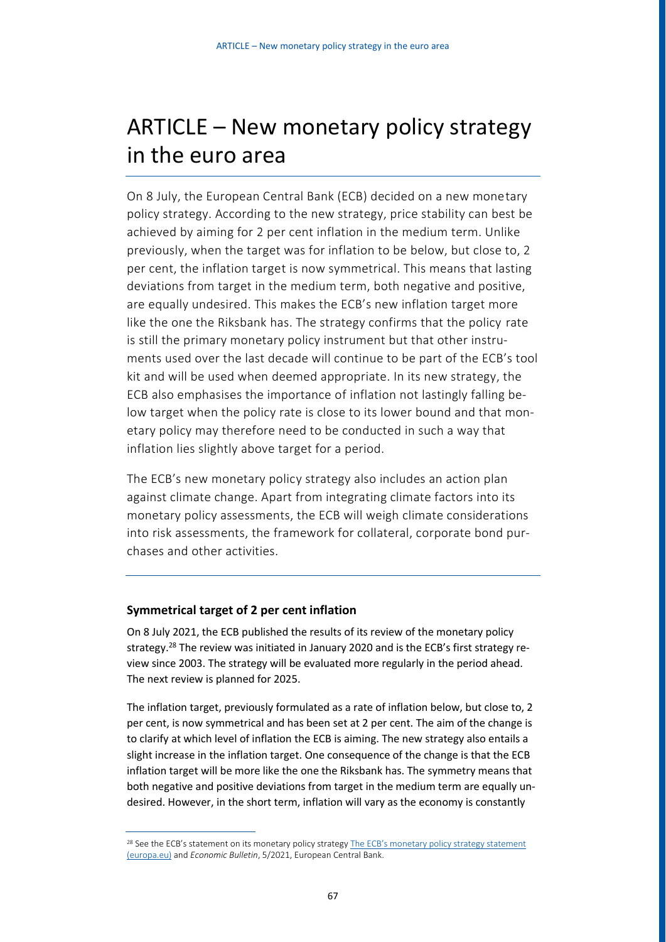# ARTICLE – New monetary policy strategy in the euro area

On 8 July, the European Central Bank (ECB) decided on a new monetary policy strategy. According to the new strategy, price stability can best be achieved by aiming for 2 per cent inflation in the medium term. Unlike previously, when the target was for inflation to be below, but close to, 2 per cent, the inflation target is now symmetrical. This means that lasting deviations from target in the medium term, both negative and positive, are equally undesired. This makes the ECB's new inflation target more like the one the Riksbank has. The strategy confirms that the policy rate is still the primary monetary policy instrument but that other instruments used over the last decade will continue to be part of the ECB's tool kit and will be used when deemed appropriate. In its new strategy, the ECB also emphasises the importance of inflation not lastingly falling below target when the policy rate is close to its lower bound and that monetary policy may therefore need to be conducted in such a way that inflation lies slightly above target for a period.

The ECB's new monetary policy strategy also includes an action plan against climate change. Apart from integrating climate factors into its monetary policy assessments, the ECB will weigh climate considerations into risk assessments, the framework for collateral, corporate bond purchases and other activities.

## **Symmetrical target of 2 per cent inflation**

On 8 July 2021, the ECB published the results of its review of the monetary policy strategy.<sup>28</sup> The review was initiated in January 2020 and is the ECB's first strategy review since 2003. The strategy will be evaluated more regularly in the period ahead. The next review is planned for 2025.

The inflation target, previously formulated as a rate of inflation below, but close to, 2 per cent, is now symmetrical and has been set at 2 per cent. The aim of the change is to clarify at which level of inflation the ECB is aiming. The new strategy also entails a slight increase in the inflation target. One consequence of the change is that the ECB inflation target will be more like the one the Riksbank has. The symmetry means that both negative and positive deviations from target in the medium term are equally undesired. However, in the short term, inflation will vary as the economy is constantly

<sup>&</sup>lt;sup>28</sup> See the ECB's statement on its monetary policy strategy The ECB's monetary policy strategy statement [\(europa.eu\)](https://www.ecb.europa.eu/home/search/review/html/ecb.strategyreview_monpol_strategy_statement.en.html) and *Economic Bulletin*, 5/2021, European Central Bank.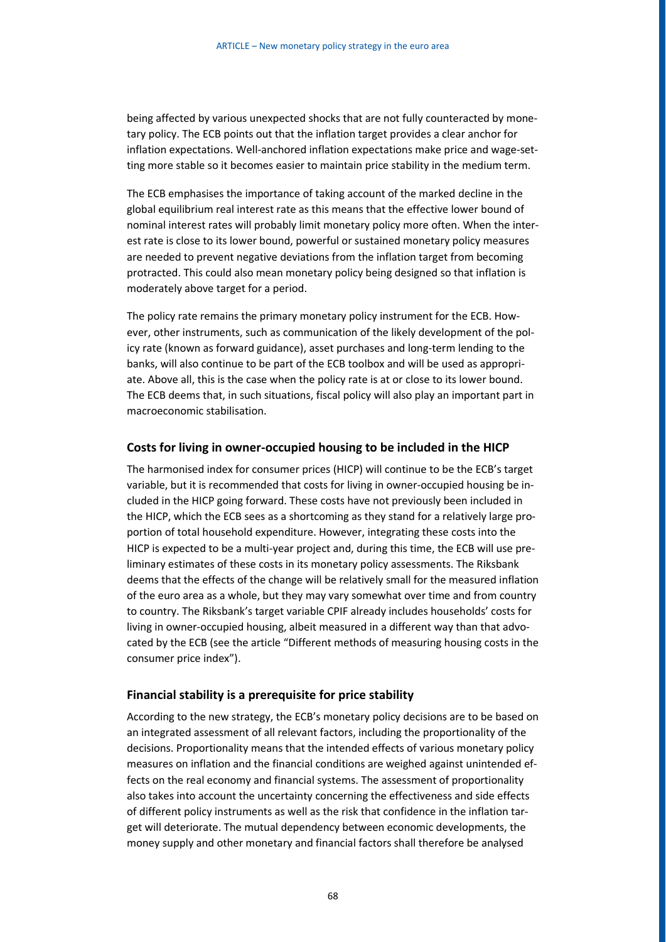being affected by various unexpected shocks that are not fully counteracted by monetary policy. The ECB points out that the inflation target provides a clear anchor for inflation expectations. Well-anchored inflation expectations make price and wage-setting more stable so it becomes easier to maintain price stability in the medium term.

The ECB emphasises the importance of taking account of the marked decline in the global equilibrium real interest rate as this means that the effective lower bound of nominal interest rates will probably limit monetary policy more often. When the interest rate is close to its lower bound, powerful or sustained monetary policy measures are needed to prevent negative deviations from the inflation target from becoming protracted. This could also mean monetary policy being designed so that inflation is moderately above target for a period.

The policy rate remains the primary monetary policy instrument for the ECB. However, other instruments, such as communication of the likely development of the policy rate (known as forward guidance), asset purchases and long-term lending to the banks, will also continue to be part of the ECB toolbox and will be used as appropriate. Above all, this is the case when the policy rate is at or close to its lower bound. The ECB deems that, in such situations, fiscal policy will also play an important part in macroeconomic stabilisation.

### **Costs for living in owner-occupied housing to be included in the HICP**

The harmonised index for consumer prices (HICP) will continue to be the ECB's target variable, but it is recommended that costs for living in owner-occupied housing be included in the HICP going forward. These costs have not previously been included in the HICP, which the ECB sees as a shortcoming as they stand for a relatively large proportion of total household expenditure. However, integrating these costs into the HICP is expected to be a multi-year project and, during this time, the ECB will use preliminary estimates of these costs in its monetary policy assessments. The Riksbank deems that the effects of the change will be relatively small for the measured inflation of the euro area as a whole, but they may vary somewhat over time and from country to country. The Riksbank's target variable CPIF already includes households' costs for living in owner-occupied housing, albeit measured in a different way than that advocated by the ECB (see the article "Different methods of measuring housing costs in the consumer price index").

#### **Financial stability is a prerequisite for price stability**

According to the new strategy, the ECB's monetary policy decisions are to be based on an integrated assessment of all relevant factors, including the proportionality of the decisions. Proportionality means that the intended effects of various monetary policy measures on inflation and the financial conditions are weighed against unintended effects on the real economy and financial systems. The assessment of proportionality also takes into account the uncertainty concerning the effectiveness and side effects of different policy instruments as well as the risk that confidence in the inflation target will deteriorate. The mutual dependency between economic developments, the money supply and other monetary and financial factors shall therefore be analysed